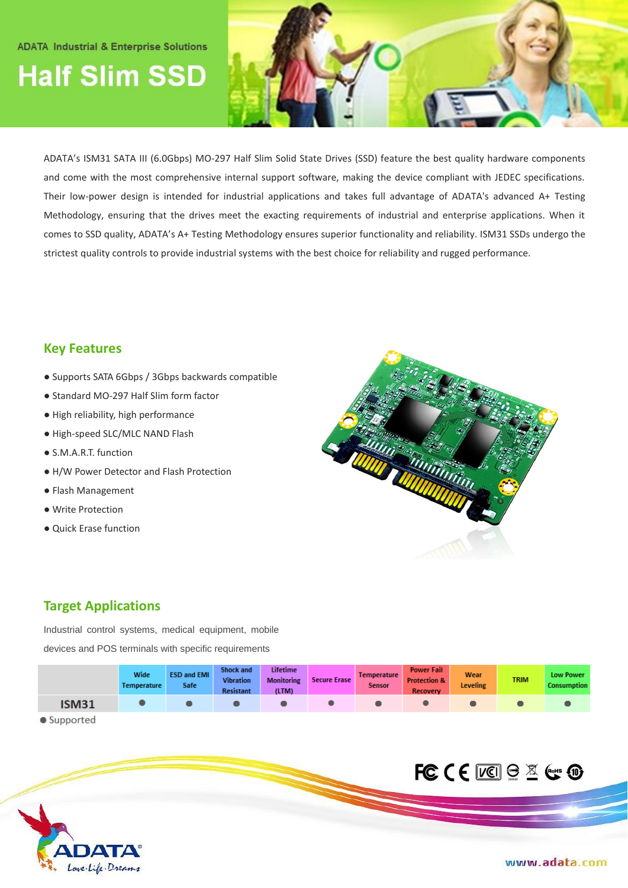#### **ADATA Industrial & Enterprise Solutions**

# **Half Slim SSD**



ADATA's ISM31 SATA III (6.0Gbps) MO-297 Half Slim Solid State Drives (SSD) feature the best quality hardware components and come with the most comprehensive internal support software, making the device compliant with JEDEC specifications. Their low-power design is intended for industrial applications and takes full advantage of ADATA's advanced A+ Testing Methodology, ensuring that the drives meet the exacting requirements of industrial and enterprise applications. When it comes to SSD quality, ADATA's A+ Testing Methodology ensures superior functionality and reliability. ISM31 SSDs undergo the strictest quality controls to provide industrial systems with the best choice for reliability and rugged performance.

#### **Key Features**

- Supports SATA 6Gbps / 3Gbps backwards compatible
- Standard MO-297 Half Slim form factor
- High reliability, high performance
- High-speed SLC/MLC NAND Flash
- S.M.A.R.T. function
- H/W Power Detector and Flash Protection
- Flash Management
- Write Protection
- Quick Erase function



### **Target Applications**

Love. Life. Dreams

Industrial control systems, medical equipment, mobile devices and POS terminals with specific requirements

|             | Wide<br>Temperature | <b>ESD and EMI</b><br>Safe | <b>Shock and</b><br><b>Vibration</b><br>Resistant | Lifetime<br><b>Monitoring</b><br>(LTM) | <b>Secure Erase</b> | <b>Temperature</b><br><b>Sensor</b> | <b>Power Fail</b><br><b>Protection &amp;</b><br><b>Recovery</b> | Wear<br><b>Leveling</b> | <b>TRIM</b> | <b>Low Power</b><br>Consumption |
|-------------|---------------------|----------------------------|---------------------------------------------------|----------------------------------------|---------------------|-------------------------------------|-----------------------------------------------------------------|-------------------------|-------------|---------------------------------|
| <b>SM31</b> |                     |                            |                                                   |                                        |                     |                                     |                                                                 |                         |             |                                 |

• Supported

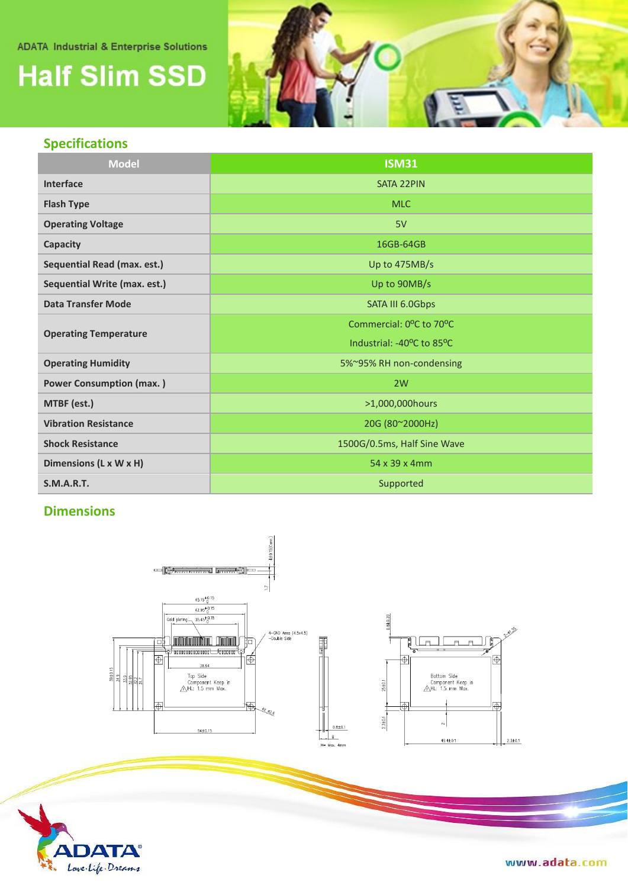#### **ADATA Industrial & Enterprise Solutions**

## **Half Slim SSD**



### **Specifications**

| <b>Model</b>                       | <b>ISM31</b>                                        |  |  |  |
|------------------------------------|-----------------------------------------------------|--|--|--|
| Interface                          | <b>SATA 22PIN</b>                                   |  |  |  |
| <b>Flash Type</b>                  | <b>MLC</b>                                          |  |  |  |
| <b>Operating Voltage</b>           | 5V                                                  |  |  |  |
| Capacity                           | 16GB-64GB                                           |  |  |  |
| <b>Sequential Read (max. est.)</b> | Up to 475MB/s                                       |  |  |  |
| Sequential Write (max. est.)       | Up to 90MB/s                                        |  |  |  |
| <b>Data Transfer Mode</b>          | SATA III 6.0Gbps                                    |  |  |  |
|                                    | Commercial: 0 <sup>o</sup> C to 70 <sup>o</sup> C   |  |  |  |
| <b>Operating Temperature</b>       | Industrial: -40 <sup>o</sup> C to 85 <sup>o</sup> C |  |  |  |
| <b>Operating Humidity</b>          | 5%~95% RH non-condensing                            |  |  |  |
| <b>Power Consumption (max.)</b>    | 2W                                                  |  |  |  |
| MTBF (est.)                        | >1,000,000hours                                     |  |  |  |
| <b>Vibration Resistance</b>        | 20G (80~2000Hz)                                     |  |  |  |
| <b>Shock Resistance</b>            | 1500G/0.5ms, Half Sine Wave                         |  |  |  |
| Dimensions (L x W x H)             | 54 x 39 x 4mm                                       |  |  |  |
| <b>S.M.A.R.T.</b>                  | Supported                                           |  |  |  |

### **Dimensions**





www.adata.com